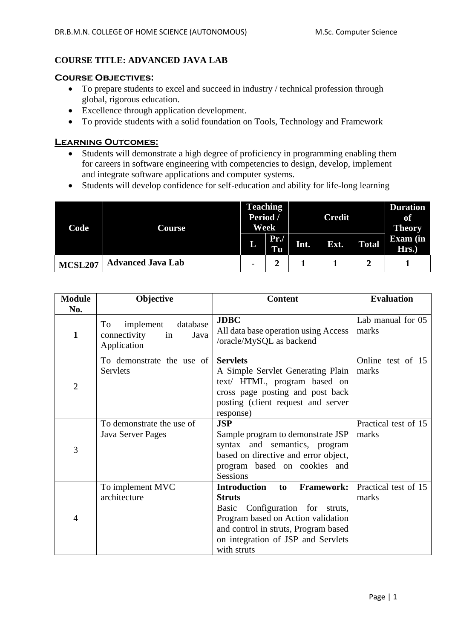# **COURSE TITLE: ADVANCED JAVA LAB**

#### **Course Objectives:**

- To prepare students to excel and succeed in industry / technical profession through global, rigorous education.
- Excellence through application development.
- To provide students with a solid foundation on Tools, Technology and Framework

### **Learning Outcomes:**

- Students will demonstrate a high degree of proficiency in programming enabling them for careers in software engineering with competencies to design, develop, implement and integrate software applications and computer systems.
- Students will develop confidence for self-education and ability for life-long learning

| Code           | Course                   | <b>Teaching</b><br>Period /<br>Week |           | <b>Credit</b> |      |              | <b>Duration</b><br>of<br><b>Theory</b> |
|----------------|--------------------------|-------------------------------------|-----------|---------------|------|--------------|----------------------------------------|
|                |                          | L                                   | Pr.<br>Tu | Int.          | Ext. | <b>Total</b> | <b>Exam</b> (in<br>Hrs.)               |
| <b>MCSL207</b> | <b>Advanced Java Lab</b> | $\blacksquare$                      |           |               |      |              |                                        |

| <b>Module</b>       | Objective                                                                | <b>Content</b>                                                                                                                                                                                                                           | <b>Evaluation</b>             |  |
|---------------------|--------------------------------------------------------------------------|------------------------------------------------------------------------------------------------------------------------------------------------------------------------------------------------------------------------------------------|-------------------------------|--|
| No.<br>$\mathbf{1}$ | database<br>To<br>implement<br>connectivity<br>Java<br>in<br>Application | <b>JDBC</b><br>All data base operation using Access<br>/oracle/MySQL as backend                                                                                                                                                          | Lab manual for 05<br>marks    |  |
| $\overline{2}$      | To demonstrate the use of<br>Servlets                                    | <b>Servlets</b><br>A Simple Servlet Generating Plain<br>text/ HTML, program based on<br>cross page posting and post back<br>posting (client request and server<br>response)                                                              | Online test of 15<br>marks    |  |
| 3                   | To demonstrate the use of<br>Java Server Pages                           | <b>JSP</b><br>Sample program to demonstrate JSP<br>syntax and semantics, program<br>based on directive and error object,<br>program based on cookies and<br><b>Sessions</b>                                                              | Practical test of 15<br>marks |  |
| $\overline{4}$      | To implement MVC<br>architecture                                         | <b>Introduction</b><br><b>Framework:</b><br>to<br><b>Struts</b><br>Configuration for struts,<br>Basic<br>Program based on Action validation<br>and control in struts, Program based<br>on integration of JSP and Servlets<br>with struts | Practical test of 15<br>marks |  |